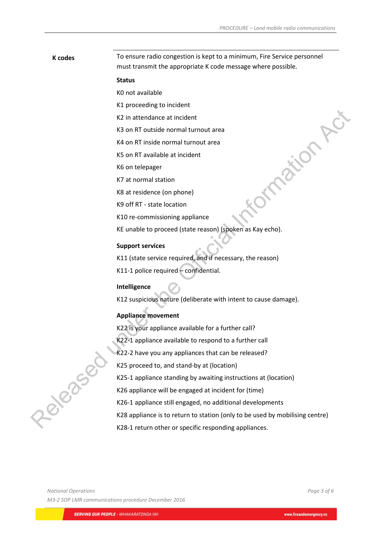# **K codes** To ensure radio congestion is kept to a minimum, Fire Service personnel must transmit the appropriate K code message where possible.

### **Status**

K0 not available

K1 proceeding to incident

K2 in attendance at incident

K3 on RT outside normal turnout area

K4 on RT inside normal turnout area

K5 on RT available at incident

K6 on telepager

K7 at normal station

K8 at residence (on phone)

K9 off RT - state location

K10 re-commissioning appliance

KE unable to proceed (state reason) (spoken as Kay echo).

## **Support services**

K11 (state service required, and if necessary, the reason)

K11-1 police required – confidential.

#### **Intelligence**

K12 suspicious nature (deliberate with intent to cause damage).

### **Appliance movement**

K22 is your appliance available for a further call?

K22-1 appliance available to respond to a further call

K22-2 have you any appliances that can be released?

K25 proceed to, and stand-by at (location)

K25-1 appliance standing by awaiting instructions at (location)

K26 appliance will be engaged at incident for (time)

K26-1 appliance still engaged, no additional developments

K28 appliance is to return to station (only to be used by mobilising centre) undlable at incident<br>
KG on telepager<br>
KG at neriotece (on phone)<br>
Released at the Official Information and the Official Information Action Action Action Action Action Action Action Action Action Action CHE is the Officia

K28-1 return other or specific responding appliances.

*National Operations Page 3 of 6 M3-2 SOP LMR communications procedure December 2016*